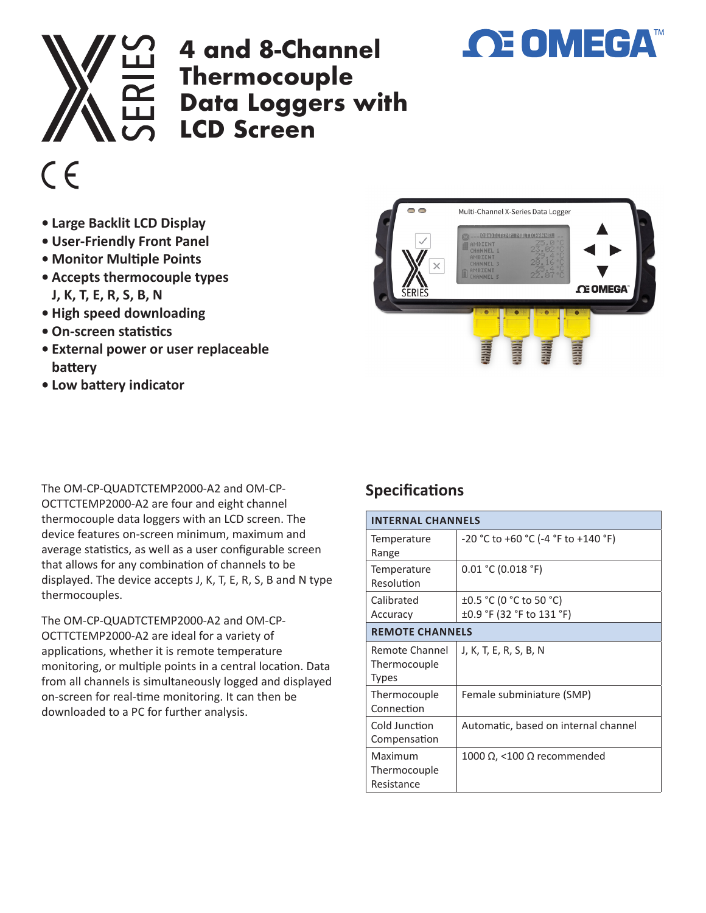

## **4 and 8-Channel Thermocouple Data Loggers with LCD Screen**



- **• Large Backlit LCD Display**
- **• User-Friendly Front Panel**
- **• Monitor Multiple Points**
- **• Accepts thermocouple types J, K, T, E, R, S, B, N**
- **• High speed downloading**
- **• On-screen statistics**
- **• External power or user replaceable battery**
- **• Low battery indicator**

The OM-CP-QUADTCTEMP2000-A2 and OM-CP-OCTTCTEMP2000-A2 are four and eight channel thermocouple data loggers with an LCD screen. The device features on-screen minimum, maximum and average statistics, as well as a user configurable screen that allows for any combination of channels to be displayed. The device accepts J, K, T, E, R, S, B and N type thermocouples.

The OM-CP-QUADTCTEMP2000-A2 and OM-CP-OCTTCTEMP2000-A2 are ideal for a variety of applications, whether it is remote temperature monitoring, or multiple points in a central location. Data from all channels is simultaneously logged and displayed on-screen for real-time monitoring. It can then be downloaded to a PC for further analysis.

## Multi-Channel X-Series Data Logger **DELETO DA ANGLERI E UNA OCEAZIAL CE OMEGA**

**OE OMEGA** 

## **Specifications**

| <b>INTERNAL CHANNELS</b>                |                                                           |  |
|-----------------------------------------|-----------------------------------------------------------|--|
| Temperature<br>Range                    | -20 °C to +60 °C (-4 °F to +140 °F)                       |  |
| Temperature<br>Resolution               | 0.01 °C (0.018 °F)                                        |  |
| Calibrated<br>Accuracy                  | ±0.5 °C (0 °C to 50 °C)<br>$\pm 0.9$ °F (32 °F to 131 °F) |  |
| <b>REMOTE CHANNELS</b>                  |                                                           |  |
| Remote Channel<br>Thermocouple<br>Types | J, K, T, E, R, S, B, N                                    |  |
| Thermocouple<br>Connection              | Female subminiature (SMP)                                 |  |
| Cold Junction<br>Compensation           | Automatic, based on internal channel                      |  |
| Maximum<br>Thermocouple<br>Resistance   | 1000 Ω, <100 Ω recommended                                |  |